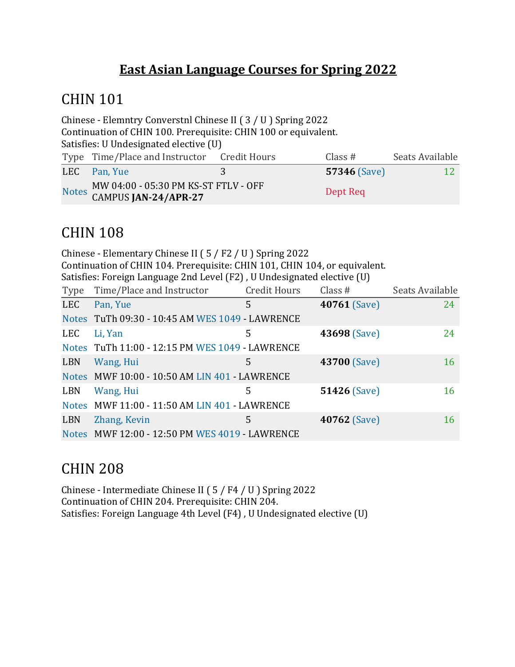#### **East Asian Language Courses for Spring 2022**

#### **CHIN 101**

Chinese - Elemntry Converstnl Chinese II ( $3 / U$ ) Spring 2022 Continuation of CHIN 100. Prerequisite: CHIN 100 or equivalent. Satisfies: U Undesignated elective (U) Type Time/Place and Instructor Credit Hours Class # Seats Available **LEC** Pan, Yue 3 57346 (Save) 12 Notes  $\frac{MW\ 04:00 - 05:30\ PM\ KS-ST\ FTLV - OFF}{P\ 04:00 - 05:30\ PM\ KS-ST\ FTLV - OFF}$ CAMPUS **JAN-24/APR-27** Dept Req

### CHIN 108

Chinese - Elementary Chinese II ( $5$  / F2 / U ) Spring 2022 Continuation of CHIN 104. Prerequisite: CHIN 101, CHIN 104, or equivalent. Satisfies: Foreign Language 2nd Level (F2), U Undesignated elective (U) Type Time/Place and Instructor Credit Hours Class # Seats Available **LEC** Pan, Yue 5 **40761** (Save) 24 Notes TuTh 09:30 - 10:45 AM WES 1049 - LAWRENCE LEC Li, Yan 5 **43698** (Save) 24 Notes TuTh 11:00 - 12:15 PM WES 1049 - LAWRENCE LBN Wang, Hui 5 **43700** (Save) 16 Notes MWF 10:00 - 10:50 AM LIN 401 - LAWRENCE LBN Wang, Hui 5 51426 (Save) 16 Notes MWF 11:00 - 11:50 AM LIN 401 - LAWRENCE **LBN** Zhang, Kevin 5 **40762** (Save) 16 Notes MWF 12:00 - 12:50 PM WES 4019 - LAWRENCE

### CHIN 208

Chinese - Intermediate Chinese II ( $5/FA/ U$ ) Spring 2022 Continuation of CHIN 204. Prerequisite: CHIN 204. Satisfies: Foreign Language 4th Level (F4), U Undesignated elective (U)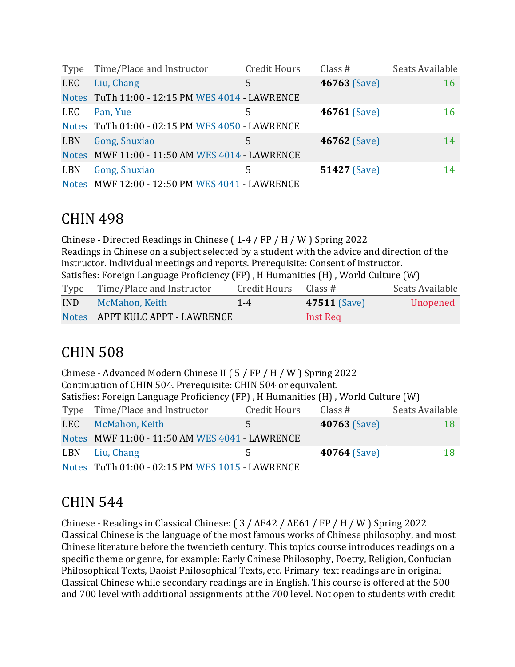| Type       | Time/Place and Instructor                       | <b>Credit Hours</b> | Class $#$           | Seats Available |
|------------|-------------------------------------------------|---------------------|---------------------|-----------------|
| <b>LEC</b> | Liu, Chang                                      | 5                   | 46763 (Save)        | 16              |
|            | Notes TuTh 11:00 - 12:15 PM WES 4014 - LAWRENCE |                     |                     |                 |
| <b>LEC</b> | Pan, Yue                                        | 5                   | 46761 (Save)        | 16              |
|            | Notes TuTh 01:00 - 02:15 PM WES 4050 - LAWRENCE |                     |                     |                 |
| LBN        | Gong, Shuxiao                                   | 5                   | <b>46762</b> (Save) | 14              |
|            | Notes MWF 11:00 - 11:50 AM WES 4014 - LAWRENCE  |                     |                     |                 |
| <b>LBN</b> | Gong, Shuxiao                                   | 5                   | <b>51427 (Save)</b> | 14              |
|            | Notes MWF 12:00 - 12:50 PM WES 4041 - LAWRENCE  |                     |                     |                 |

#### CHIN 498

Chinese - Directed Readings in Chinese ( $1-4$  / FP / H / W ) Spring 2022 Readings in Chinese on a subject selected by a student with the advice and direction of the instructor. Individual meetings and reports. Prerequisite: Consent of instructor. Satisfies: Foreign Language Proficiency  $(FP)$ , H Humanities  $(H)$ , World Culture  $(W)$ Type Time/Place and Instructor Credit Hours Class # Seats Available IND McMahon, Keith 1-4 **47511** (Save) Unopened Notes APPT KULC APPT - LAWRENCE Inst Req

### CHIN 508

|     | Chinese - Advanced Modern Chinese II ( $5$ / FP / H / W ) Spring 2022             |                      |                     |                 |
|-----|-----------------------------------------------------------------------------------|----------------------|---------------------|-----------------|
|     | Continuation of CHIN 504. Prerequisite: CHIN 504 or equivalent.                   |                      |                     |                 |
|     | Satisfies: Foreign Language Proficiency (FP), H Humanities (H), World Culture (W) |                      |                     |                 |
|     | Type Time/Place and Instructor                                                    | Credit Hours Class # |                     | Seats Available |
|     | LEC McMahon, Keith                                                                | 5                    | <b>40763 (Save)</b> | 18              |
|     | Notes MWF 11:00 - 11:50 AM WES 4041 - LAWRENCE                                    |                      |                     |                 |
| LBN | Liu, Chang                                                                        | 5                    | 40764 (Save)        | 18              |
|     | Notes TuTh 01:00 - 02:15 PM WES 1015 - LAWRENCE                                   |                      |                     |                 |

### CHIN 544

Chinese - Readings in Classical Chinese:  $(3 / AE42 / AE61 / FP / H / W)$  Spring 2022 Classical Chinese is the language of the most famous works of Chinese philosophy, and most Chinese literature before the twentieth century. This topics course introduces readings on a specific theme or genre, for example: Early Chinese Philosophy, Poetry, Religion, Confucian Philosophical Texts, Daoist Philosophical Texts, etc. Primary-text readings are in original Classical Chinese while secondary readings are in English. This course is offered at the 500 and 700 level with additional assignments at the 700 level. Not open to students with credit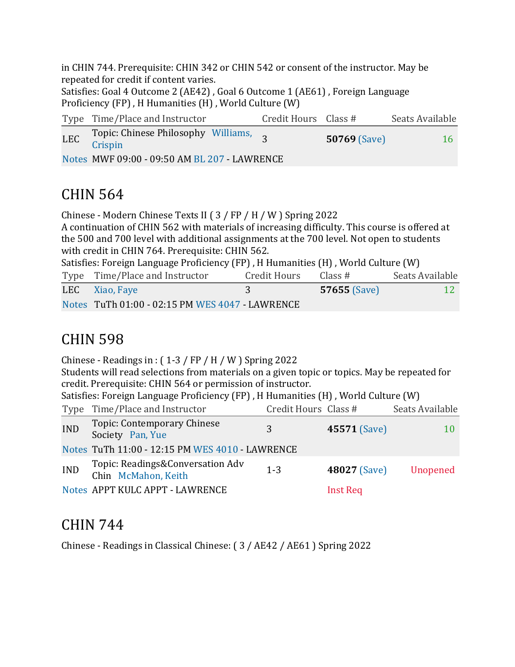in CHIN 744. Prerequisite: CHIN 342 or CHIN 542 or consent of the instructor. May be repeated for credit if content varies. Satisfies: Goal 4 Outcome 2 (AE42), Goal 6 Outcome 1 (AE61), Foreign Language Proficiency  $(FP)$ , H Humanities  $(H)$ , World Culture  $(W)$ Type Time/Place and Instructor Credit Hours Class # Seats Available LEC Topic: Chinese Philosophy Williams,<br>Crispin **50769** (Save) 16 Notes MWF 09:00 - 09:50 AM BL 207 - LAWRENCE

# CHIN 564

Chinese - Modern Chinese Texts II ( $3$  / FP / H / W ) Spring 2022

A continuation of CHIN 562 with materials of increasing difficulty. This course is offered at the 500 and 700 level with additional assignments at the 700 level. Not open to students with credit in CHIN 764. Prerequisite: CHIN 562.

Satisfies: Foreign Language Proficiency  $(FP)$ , H Humanities  $(H)$ , World Culture  $(W)$ 

| Type Time/Place and Instructor                  | Credit Hours | Class #             | Seats Available |
|-------------------------------------------------|--------------|---------------------|-----------------|
| LEC Xiao, Faye                                  |              | <b>57655</b> (Save) |                 |
| Notes TuTh 01:00 - 02:15 PM WES 4047 - LAWRENCE |              |                     |                 |

# CHIN 598

Chinese - Readings in :  $(1-3 / FP / H / W)$  Spring 2022 Students will read selections from materials on a given topic or topics. May be repeated for credit. Prerequisite: CHIN 564 or permission of instructor. Satisfies: Foreign Language Proficiency (FP), H Humanities (H), World Culture (W) Type Time/Place and Instructor Credit Hours Class # Seats Available IND Topic: Contemporary Chinese Society Pan, Yue 3 **45571** (Save) 10 Notes TuTh 11:00 - 12:15 PM WES 4010 - LAWRENCE IND Topic: Readings&Conversation Adv Chin McMahon, Keith 1-3 **<sup>48027</sup>** (Save) Unopened Notes APPT KULC APPT - LAWRENCE Inst Req

### CHIN 744

Chinese - Readings in Classical Chinese: ( $3$  / AE42 / AE61 ) Spring 2022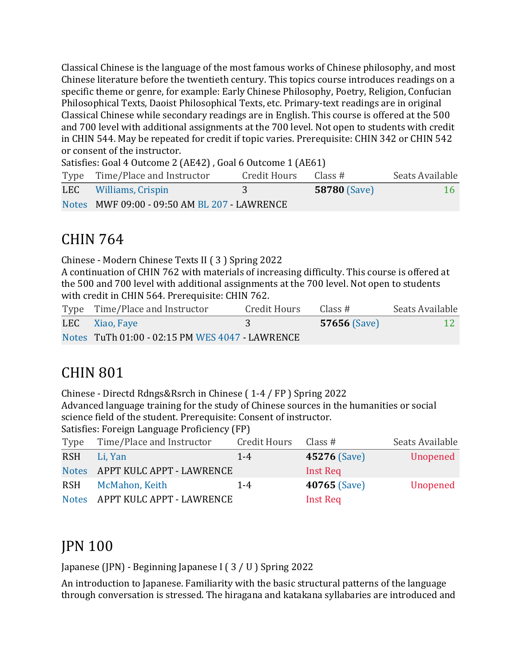Classical Chinese is the language of the most famous works of Chinese philosophy, and most Chinese literature before the twentieth century. This topics course introduces readings on a specific theme or genre, for example: Early Chinese Philosophy, Poetry, Religion, Confucian Philosophical Texts, Daoist Philosophical Texts, etc. Primary-text readings are in original Classical Chinese while secondary readings are in English. This course is offered at the 500 and 700 level with additional assignments at the 700 level. Not open to students with credit in CHIN 544. May be repeated for credit if topic varies. Prerequisite: CHIN 342 or CHIN 542 or consent of the instructor.

Satisfies: Goal 4 Outcome 2 (AE42), Goal 6 Outcome 1 (AE61)

| Type Time/Place and Instructor               | Credit Hours | Class #             | Seats Available |
|----------------------------------------------|--------------|---------------------|-----------------|
| <b>LEC</b> Williams, Crispin                 |              | <b>58780 (Save)</b> | 16              |
| Notes MWF 09:00 - 09:50 AM BL 207 - LAWRENCE |              |                     |                 |

### CHIN 764

Chinese - Modern Chinese Texts II ( 3 ) Spring 2022

A continuation of CHIN 762 with materials of increasing difficulty. This course is offered at the 500 and 700 level with additional assignments at the 700 level. Not open to students with credit in CHIN 564. Prerequisite: CHIN 762.

| Type Time/Place and Instructor                  | Credit Hours | Class#              | Seats Available |
|-------------------------------------------------|--------------|---------------------|-----------------|
| LEC Xiao, Faye                                  |              | <b>57656</b> (Save) |                 |
| Notes TuTh 01:00 - 02:15 PM WES 4047 - LAWRENCE |              |                     |                 |

# CHIN 801

Chinese - Directd Rdngs&Rsrch in Chinese (1-4 / FP) Spring 2022

Advanced language training for the study of Chinese sources in the humanities or social science field of the student. Prerequisite: Consent of instructor.

Satisfies: Foreign Language Proficiency (FP)

| Type       | Time/Place and Instructor       | Credit Hours Class # |                     | Seats Available |
|------------|---------------------------------|----------------------|---------------------|-----------------|
| <b>RSH</b> | Li, Yan                         | $1 - 4$              | 45276 (Save)        | Unopened        |
|            | Notes APPT KULC APPT - LAWRENCE |                      | Inst Req            |                 |
| <b>RSH</b> | McMahon, Keith                  | $1 - 4$              | <b>40765 (Save)</b> | Unopened        |
|            | Notes APPT KULC APPT - LAWRENCE |                      | <b>Inst Req</b>     |                 |

# JPN 100

Japanese (JPN) - Beginning Japanese I ( $3 / U$ ) Spring 2022

An introduction to Japanese. Familiarity with the basic structural patterns of the language through conversation is stressed. The hiragana and katakana syllabaries are introduced and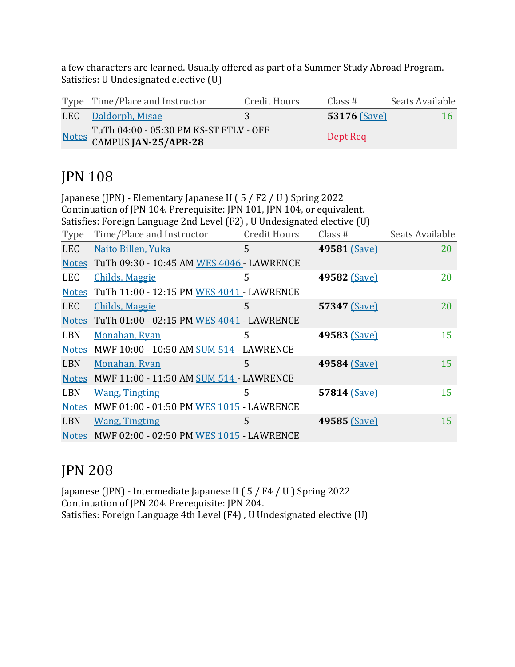a few characters are learned. Usually offered as part of a Summer Study Abroad Program. Satisfies: U Undesignated elective (U)

| Type Time/Place and Instructor                                       | Credit Hours | Class#              | Seats Available |
|----------------------------------------------------------------------|--------------|---------------------|-----------------|
| LEC Daldorph, Misae                                                  |              | <b>53176 (Save)</b> | 16.             |
| Notes TuTh 04:00 - 05:30 PM KS-ST FTLV - OFF<br>CAMPUS JAN-25/APR-28 |              | Dept Req            |                 |

# JPN 108

| Japanese (JPN) - Elementary Japanese II (5 / F2 / U) Spring 2022 |                                                                         |                     |              |                 |
|------------------------------------------------------------------|-------------------------------------------------------------------------|---------------------|--------------|-----------------|
|                                                                  | Continuation of JPN 104. Prerequisite: JPN 101, JPN 104, or equivalent. |                     |              |                 |
|                                                                  | Satisfies: Foreign Language 2nd Level (F2), U Undesignated elective (U) |                     |              |                 |
| <b>Type</b>                                                      | Time/Place and Instructor                                               | <b>Credit Hours</b> | Class $#$    | Seats Available |
| <b>LEC</b>                                                       | Naito Billen, Yuka                                                      | 5                   | 49581 (Save) | 20              |
|                                                                  | Notes TuTh 09:30 - 10:45 AM WES 4046 - LAWRENCE                         |                     |              |                 |
| <b>LEC</b>                                                       | <b>Childs, Maggie</b>                                                   | 5                   | 49582 (Save) | 20              |
| <b>Notes</b>                                                     | TuTh 11:00 - 12:15 PM WES 4041 - LAWRENCE                               |                     |              |                 |
| <b>LEC</b>                                                       | <b>Childs, Maggie</b>                                                   | 5                   | 57347 (Save) | 20              |
| <b>Notes</b>                                                     | TuTh 01:00 - 02:15 PM WES 4041 - LAWRENCE                               |                     |              |                 |
| <b>LBN</b>                                                       | Monahan, Ryan                                                           | 5                   | 49583 (Save) | 15              |
| <b>Notes</b>                                                     | MWF 10:00 - 10:50 AM SUM 514 - LAWRENCE                                 |                     |              |                 |
| <b>LBN</b>                                                       | <b>Monahan, Ryan</b>                                                    | 5                   | 49584 (Save) | 15              |
|                                                                  | Notes MWF 11:00 - 11:50 AM SUM 514 - LAWRENCE                           |                     |              |                 |
| <b>LBN</b>                                                       | <b>Wang, Tingting</b>                                                   | 5                   | 57814 (Save) | 15              |
| <b>Notes</b>                                                     | MWF 01:00 - 01:50 PM WES 1015 - LAWRENCE                                |                     |              |                 |
| <b>LBN</b>                                                       | <b>Wang, Tingting</b>                                                   | 5                   | 49585 (Save) | 15              |
| <b>Notes</b>                                                     | MWF 02:00 - 02:50 PM WES 1015 - LAWRENCE                                |                     |              |                 |

### JPN 208

Japanese (JPN) - Intermediate Japanese II (5 / F4 / U ) Spring 2022 Continuation of JPN 204. Prerequisite: JPN 204. Satisfies: Foreign Language 4th Level  $(F4)$ , U Undesignated elective  $(U)$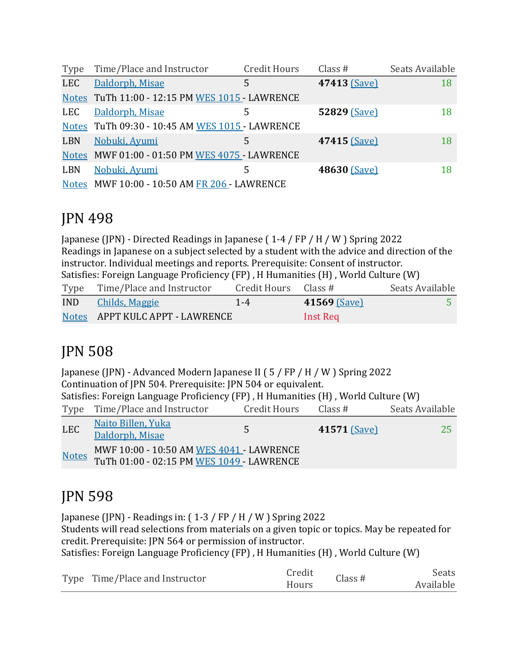| Type       | Time/Place and Instructor                       | <b>Credit Hours</b> | Class $#$    | Seats Available |
|------------|-------------------------------------------------|---------------------|--------------|-----------------|
| <b>LEC</b> | Daldorph, Misae                                 | 5                   | 47413 (Save) | 18              |
|            | Notes TuTh 11:00 - 12:15 PM WES 1015 - LAWRENCE |                     |              |                 |
| LEC        | Daldorph, Misae                                 | 5                   | 52829 (Save) | 18              |
|            | Notes TuTh 09:30 - 10:45 AM WES 1015 - LAWRENCE |                     |              |                 |
| LBN        | Nobuki, Ayumi                                   | 5                   | 47415 (Save) | 18              |
|            | Notes MWF 01:00 - 01:50 PM WES 4075 - LAWRENCE  |                     |              |                 |
| <b>LBN</b> | Nobuki, Ayumi                                   | 5                   | 48630 (Save) | 18              |
|            | Notes MWF 10:00 - 10:50 AM FR 206 - LAWRENCE    |                     |              |                 |

### JPN 498

Japanese (JPN) - Directed Readings in Japanese ( $1-4$  / FP / H / W ) Spring 2022 Readings in Japanese on a subject selected by a student with the advice and direction of the instructor. Individual meetings and reports. Prerequisite: Consent of instructor. Satisfies: Foreign Language Proficiency (FP), H Humanities (H), World Culture (W) Type Time/Place and Instructor Credit Hours Class # Seats Available IND Childs, Maggie 1-4 **41569** (Save) 5 Notes APPT KULC APPT - LAWRENCE Inst Req

# JPN 508

Japanese (JPN) - Advanced Modern Japanese II ( $5$  / FP / H / W ) Spring 2022 Continuation of JPN 504. Prerequisite: JPN 504 or equivalent. Satisfies: Foreign Language Proficiency  $(FP)$ , H Humanities  $(H)$ , World Culture  $(W)$ Type Time/Place and Instructor Credit Hours Class # Seats Available LEC Naito Billen, Yuka <u>Daldorph, Misae</u> 5 **41571** (Save) 25 Notes MWF 10:00 - 10:50 AM WES  $4041$  - LAWRENCE TuTh 01:00 - 02:15 PM WES 1049 - LAWRENCE

# JPN 598

Japanese (JPN) - Readings in:  $(1-3 / FP / H / W)$  Spring 2022

Students will read selections from materials on a given topic or topics. May be repeated for credit. Prerequisite: JPN 564 or permission of instructor.

Satisfies: Foreign Language Proficiency (FP), H Humanities (H), World Culture (W)

|  | Type Time/Place and Instructor | Credit | Class # | Seats     |
|--|--------------------------------|--------|---------|-----------|
|  |                                | Hours  |         | Available |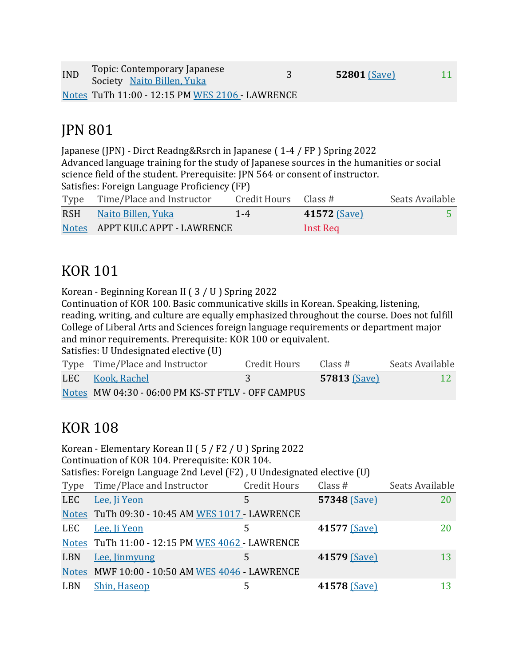| <b>IND</b> | Topic: Contemporary Japanese<br>Society Naito Billen, Yuka | <b>52801 (Save)</b> | 11 |
|------------|------------------------------------------------------------|---------------------|----|
|            | Notes TuTh 11:00 - 12:15 PM WES 2106 - LAWRENCE            |                     |    |

### **JPN 801**

Japanese (JPN) - Dirct Readng&Rsrch in Japanese (1-4 / FP) Spring 2022 Advanced language training for the study of Japanese sources in the humanities or social science field of the student. Prerequisite: JPN 564 or consent of instructor. Satisfies: Foreign Language Proficiency (FP)

| Type Time/Place and Instructor  | Credit Hours Class # |                     | Seats Available |
|---------------------------------|----------------------|---------------------|-----------------|
| RSH Naito Billen, Yuka          | $1 - 4$              | <b>41572 (Save)</b> |                 |
| Notes APPT KULC APPT - LAWRENCE |                      | Inst Req            |                 |

### **KOR 101**

Korean - Beginning Korean II  $(3 / U)$  Spring 2022

Continuation of KOR 100. Basic communicative skills in Korean. Speaking, listening, reading, writing, and culture are equally emphasized throughout the course. Does not fulfill College of Liberal Arts and Sciences foreign language requirements or department major and minor requirements. Prerequisite: KOR 100 or equivalent.

Satisfies: U Undesignated elective (U)

| Type Time/Place and Instructor                    | Credit Hours | Class #             | Seats Available |
|---------------------------------------------------|--------------|---------------------|-----------------|
| LEC Kook, Rachel                                  |              | <b>57813 (Save)</b> |                 |
| Notes MW 04:30 - 06:00 PM KS-ST FTLV - OFF CAMPUS |              |                     |                 |

# KOR 108

|            | Korean - Elementary Korean II (5 / F2 / U ) Spring 2022<br>Continuation of KOR 104. Prerequisite: KOR 104. |                     |              |                 |
|------------|------------------------------------------------------------------------------------------------------------|---------------------|--------------|-----------------|
|            | Satisfies: Foreign Language 2nd Level (F2), U Undesignated elective (U)                                    |                     |              |                 |
| Type       | Time/Place and Instructor                                                                                  | <b>Credit Hours</b> | Class $#$    | Seats Available |
| <b>LEC</b> | Lee, Ji Yeon                                                                                               | 5                   | 57348 (Save) | 20              |
|            | Notes TuTh 09:30 - 10:45 AM WES 1017 - LAWRENCE                                                            |                     |              |                 |
| LEC        | Lee, Ji Yeon                                                                                               | 5                   | 41577 (Save) | 20              |
|            | Notes TuTh 11:00 - 12:15 PM WES 4062 - LAWRENCE                                                            |                     |              |                 |
| LBN        | Lee, Jinmyung                                                                                              | 5                   | 41579 (Save) | 13              |
|            | Notes MWF 10:00 - 10:50 AM WES 4046 - LAWRENCE                                                             |                     |              |                 |
| <b>LBN</b> | <b>Shin, Haseop</b>                                                                                        | 5                   | 41578 (Save) | 13              |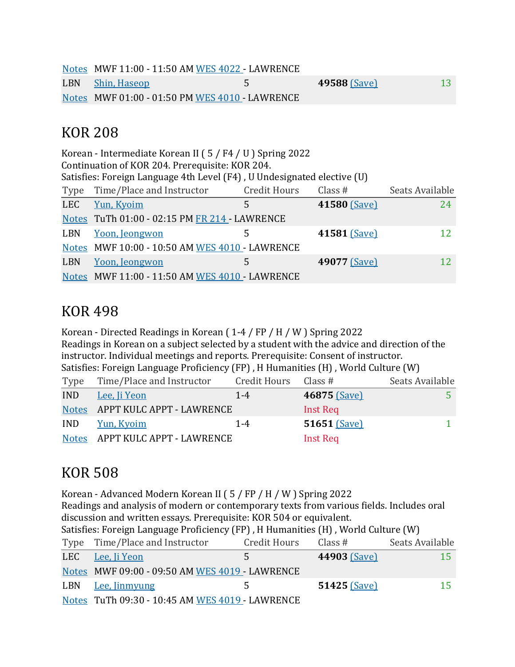Notes MWF 11:00 - 11:50 AM WES 4022 - LAWRENCE LBN Shin, Haseop 5 **49588** (Save) 13 Notes MWF 01:00 - 01:50 PM WES 4010 - LAWRENCE

#### KOR 208

| Korean - Intermediate Korean II (5/F4/U) Spring 2022<br>Continuation of KOR 204. Prerequisite: KOR 204. |                                                                         |                     |              |                 |  |
|---------------------------------------------------------------------------------------------------------|-------------------------------------------------------------------------|---------------------|--------------|-----------------|--|
|                                                                                                         | Satisfies: Foreign Language 4th Level (F4), U Undesignated elective (U) |                     |              |                 |  |
| Type                                                                                                    | Time/Place and Instructor                                               | <b>Credit Hours</b> | Class $#$    | Seats Available |  |
| <b>LEC</b>                                                                                              | Yun, Kyoim                                                              | 5                   | 41580 (Save) | 24              |  |
|                                                                                                         | Notes TuTh 01:00 - 02:15 PM FR 214 - LAWRENCE                           |                     |              |                 |  |
| LBN                                                                                                     | Yoon, Jeongwon                                                          | 5                   | 41581 (Save) | 12              |  |
|                                                                                                         | Notes MWF 10:00 - 10:50 AM WES 4010 - LAWRENCE                          |                     |              |                 |  |
| <b>LBN</b>                                                                                              | Yoon, Jeongwon                                                          | 5                   | 49077 (Save) | 12              |  |
|                                                                                                         | Notes MWF 11:00 - 11:50 AM WES 4010 - LAWRENCE                          |                     |              |                 |  |

### KOR 498

Korean - Directed Readings in Korean  $(1-4 / FP / H / W)$  Spring 2022 Readings in Korean on a subject selected by a student with the advice and direction of the instructor. Individual meetings and reports. Prerequisite: Consent of instructor. Satisfies: Foreign Language Proficiency (FP), H Humanities (H), World Culture (W)

| Type       | Time/Place and Instructor       | Credit Hours Class # |                 | Seats Available |
|------------|---------------------------------|----------------------|-----------------|-----------------|
| <b>IND</b> | Lee, Ji Yeon                    | $1 - 4$              | 46875 (Save)    |                 |
|            | Notes APPT KULC APPT - LAWRENCE |                      | Inst Req        |                 |
| <b>IND</b> | Yun, Kyoim                      | $1 - 4$              | 51651 $(Save)$  |                 |
|            | Notes APPT KULC APPT - LAWRENCE |                      | <b>Inst Req</b> |                 |

# KOR 508

Korean - Advanced Modern Korean II ( $5$  / FP / H / W ) Spring 2022 Readings and analysis of modern or contemporary texts from various fields. Includes oral discussion and written essays. Prerequisite: KOR 504 or equivalent. Satisfies: Foreign Language Proficiency (FP) H Humanities (H), World Culture (W)

| Jausiles. Foreign Banguage Fronciency (FFT), If Humanities (FF), World Guiture (W) |                     |                     |                 |  |  |
|------------------------------------------------------------------------------------|---------------------|---------------------|-----------------|--|--|
| Type Time/Place and Instructor                                                     | <b>Credit Hours</b> | Class#              | Seats Available |  |  |
| LEC Lee, <i>li</i> Yeon                                                            | 5.                  | <b>44903 (Save)</b> | 15              |  |  |
| Notes MWF 09:00 - 09:50 AM WES 4019 - LAWRENCE                                     |                     |                     |                 |  |  |
| LBN Lee, <i>linmyung</i>                                                           |                     | $51425$ (Save)      | 15              |  |  |
| Notes TuTh 09:30 - 10:45 AM WES 4019 - LAWRENCE                                    |                     |                     |                 |  |  |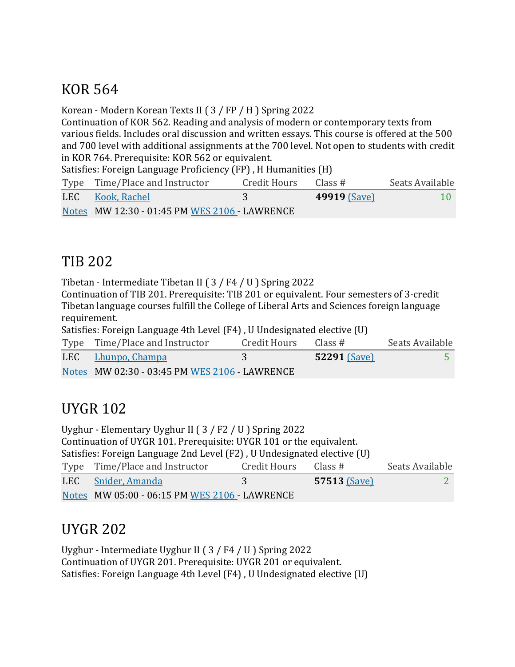# KOR 564

Korean - Modern Korean Texts II ( 3 / FP / H ) Spring 2022

Continuation of KOR 562. Reading and analysis of modern or contemporary texts from various fields. Includes oral discussion and written essays. This course is offered at the 500 and 700 level with additional assignments at the 700 level. Not open to students with credit in KOR 764. Prerequisite: KOR 562 or equivalent.

Satisfies: Foreign Language Proficiency (FP), H Humanities (H)

| Type Time/Place and Instructor                | Credit Hours | Class #             | Seats Available |
|-----------------------------------------------|--------------|---------------------|-----------------|
| LEC Kook, Rachel                              |              | <b>49919 (Save)</b> | $10 -$          |
| Notes MW 12:30 - 01:45 PM WES 2106 - LAWRENCE |              |                     |                 |

# TIB 202

Tibetan - Intermediate Tibetan II (3 / F4 / U ) Spring 2022

Continuation of TIB 201. Prerequisite: TIB 201 or equivalent. Four semesters of 3-credit Tibetan language courses fulfill the College of Liberal Arts and Sciences foreign language requirement.

Satisfies: Foreign Language 4th Level (F4), U Undesignated elective (U)

| Type Time/Place and Instructor                | Credit Hours Class # |                     | Seats Available |
|-----------------------------------------------|----------------------|---------------------|-----------------|
| LEC Lhunpo, Champa                            |                      | <b>52291 (Save)</b> |                 |
| Notes MW 02:30 - 03:45 PM WES 2106 - LAWRENCE |                      |                     |                 |

# **UYGR 102**

Uyghur - Elementary Uyghur II (3 / F2 / U ) Spring 2022 Continuation of UYGR 101. Prerequisite: UYGR 101 or the equivalent. Satisfies: Foreign Language 2nd Level (F2), U Undesignated elective (U) Type Time/Place and Instructor Credit Hours Class # Seats Available **LEC** Snider, Amanda 3 57513 (Save) 2 Notes MW 05:00 - 06:15 PM WES 2106 - LAWRENCE

# UYGR 202

Uyghur - Intermediate Uyghur II (3 / F4 / U ) Spring 2022 Continuation of UYGR 201. Prerequisite: UYGR 201 or equivalent. Satisfies: Foreign Language 4th Level (F4), U Undesignated elective (U)